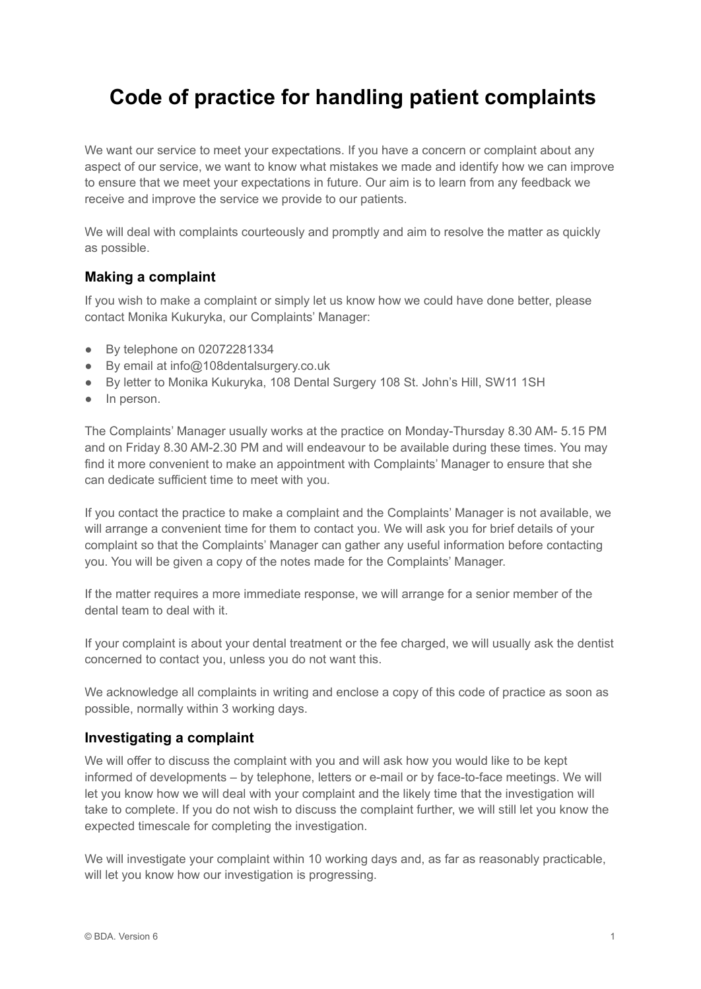# **Code of practice for handling patient complaints**

We want our service to meet your expectations. If you have a concern or complaint about any aspect of our service, we want to know what mistakes we made and identify how we can improve to ensure that we meet your expectations in future. Our aim is to learn from any feedback we receive and improve the service we provide to our patients.

We will deal with complaints courteously and promptly and aim to resolve the matter as quickly as possible.

## **Making a complaint**

If you wish to make a complaint or simply let us know how we could have done better, please contact Monika Kukuryka, our Complaints' Manager:

- By telephone on 02072281334
- By email at info@108dentalsurgery.co.uk
- By letter to Monika Kukuryka, 108 Dental Surgery 108 St. John's Hill, SW11 1SH
- In person.

The Complaints' Manager usually works at the practice on Monday-Thursday 8.30 AM- 5.15 PM and on Friday 8.30 AM-2.30 PM and will endeavour to be available during these times. You may find it more convenient to make an appointment with Complaints' Manager to ensure that she can dedicate sufficient time to meet with you.

If you contact the practice to make a complaint and the Complaints' Manager is not available, we will arrange a convenient time for them to contact you. We will ask you for brief details of your complaint so that the Complaints' Manager can gather any useful information before contacting you. You will be given a copy of the notes made for the Complaints' Manager.

If the matter requires a more immediate response, we will arrange for a senior member of the dental team to deal with it.

If your complaint is about your dental treatment or the fee charged, we will usually ask the dentist concerned to contact you, unless you do not want this.

We acknowledge all complaints in writing and enclose a copy of this code of practice as soon as possible, normally within 3 working days.

#### **Investigating a complaint**

We will offer to discuss the complaint with you and will ask how you would like to be kept informed of developments – by telephone, letters or e-mail or by face-to-face meetings. We will let you know how we will deal with your complaint and the likely time that the investigation will take to complete. If you do not wish to discuss the complaint further, we will still let you know the expected timescale for completing the investigation.

We will investigate your complaint within 10 working days and, as far as reasonably practicable, will let you know how our investigation is progressing.